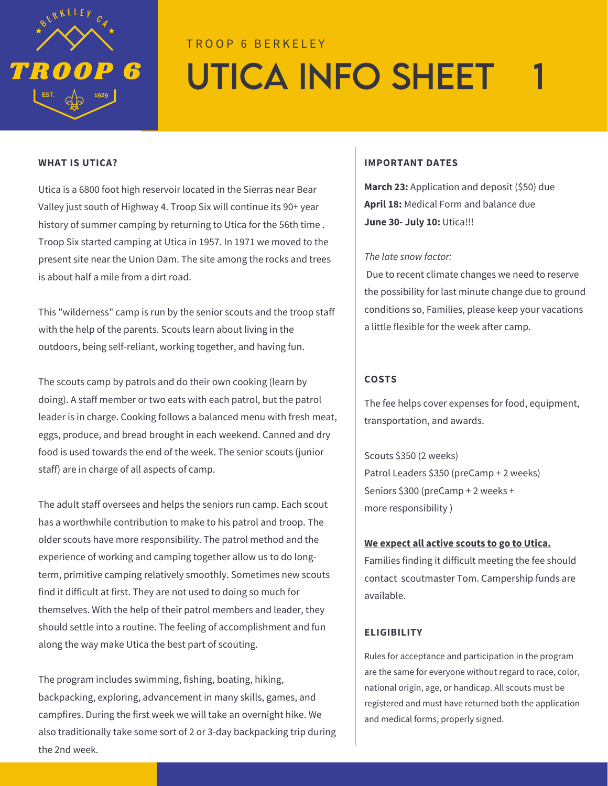

# T R O O P 6 B E R K E L E Y UTICA INFO SHEET

Utica is a 6800 foot high reservoir located in the Sierras near Bear Valley just south of Highway 4. Troop Six will continue its 90+ year history of summer camping by returning to Utica for the 56th time . Troop Six started camping at Utica in 1957. In 1971 we moved to the present site near the Union Dam. The site among the rocks and trees is about half a mile from a dirt road.

This "wilderness" camp is run by the senior scouts and the troop staff with the help of the parents. Scouts learn about living in the outdoors, being self-reliant, working together, and having fun.

The scouts camp by patrols and do their own cooking (learn by doing). A staff member or two eats with each patrol, but the patrol leader is in charge. Cooking follows a balanced menu with fresh meat, eggs, produce, and bread brought in each weekend. Canned and dry food is used towards the end of the week. The senior scouts (junior staff) are in charge of all aspects of camp.

The adult staff oversees and helps the seniors run camp. Each scout has a worthwhile contribution to make to his patrol and troop. The older scouts have more responsibility. The patrol method and the experience of working and camping together allow us to do longterm, primitive camping relatively smoothly. Sometimes new scouts find it difficult at first. They are not used to doing so much for themselves. With the help of their patrol members and leader, they should settle into a routine. The feeling of accomplishment and fun along the way make Utica the best part of scouting.

The program includes swimming, fishing, boating, hiking, backpacking, exploring, advancement in many skills, games, and campfires. During the first week we will take an overnight hike. We also traditionally take some sort of 2 or 3-day backpacking trip during the 2nd week.

### **WHAT IS UTICA? IMPORTANT DATES**

**March 23:** Application and deposit (\$50) due **April 18:** Medical Form and balance due **June 30- July 10:** Utica!!!

### *The late snow factor:*

Due to recent climate changes we need to reserve the possibility for last minute change due to ground conditions so, Families, please keep your vacations a little flexible for the week after camp.

### **COSTS**

The fee helps cover expenses for food, equipment, transportation, and awards.

Scouts \$350 (2 weeks) Patrol Leaders \$350 (preCamp + 2 weeks) Seniors \$300 (preCamp + 2 weeks + more responsibility )

### **We expect all active scouts to go to Utica.**

Families finding it difficult meeting the fee should contact scoutmaster Tom. Campership funds are available.

### **ELIGIBILITY**

Rules for acceptance and participation in the program are the same for everyone without regard to race, color, national origin, age, or handicap. All scouts must be registered and must have returned both the application and medical forms, properly signed.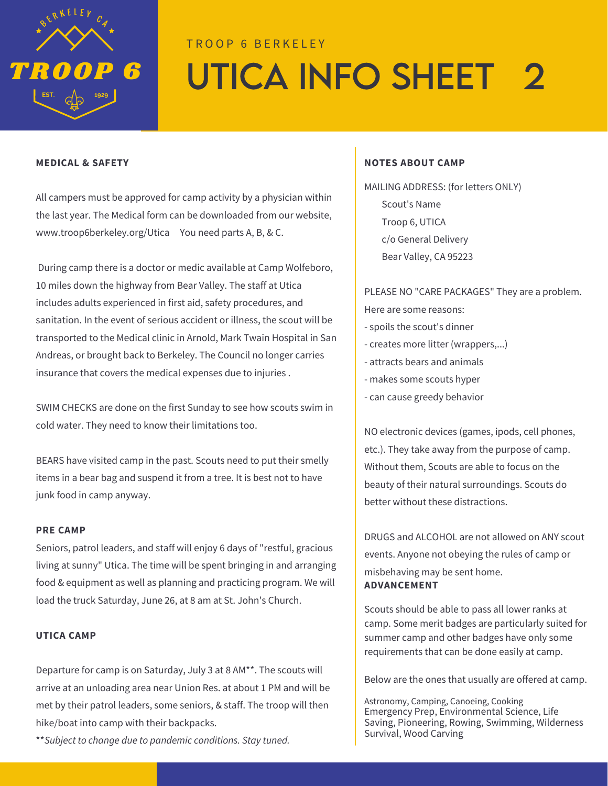

# T R O O P 6 B E R K E L E Y UTICA INFO SHEET 2

#### **MEDICAL & SAFETY**

All campers must be approved for camp activity by a physician within the last year. The Medical form can be downloaded from our website, [www.troop6berkeley.org/](http://www.troop6berkeley.org/)Utica You need parts A, B, & C.

During camp there is a doctor or medic available at Camp Wolfeboro, 10 miles down the highway from Bear Valley. The staff at Utica includes adults experienced in first aid, safety procedures, and sanitation. In the event of serious accident or illness, the scout will be transported to the Medical clinic in Arnold, Mark Twain Hospital in San Andreas, or brought back to Berkeley. The Council no longer carries insurance that covers the medical expenses due to injuries .

SWIM CHECKS are done on the first Sunday to see how scouts swim in cold water. They need to know their limitations too.

BEARS have visited camp in the past. Scouts need to put their smelly items in a bear bag and suspend it from a tree. It is best not to have junk food in camp anyway.

#### **PRE CAMP**

Seniors, patrol leaders, and staff will enjoy 6 days of "restful, gracious living at sunny" Utica. The time will be spent bringing in and arranging food & equipment as well as planning and practicing program. We will load the truck Saturday, June 26, at 8 am at St. John's Church.

#### **UTICA CAMP**

Departure for camp is on Saturday, July 3 at 8 AM\*\*. The scouts will arrive at an unloading area near Union Res. at about 1 PM and will be met by their patrol leaders, some seniors, & staff. The troop will then hike/boat into camp with their backpacks.

\*\**Subject to change due to pandemic conditions. Stay tuned.*

### **NOTES ABOUT CAMP**

MAILING ADDRESS: (for letters ONLY) Scout's Name Troop 6, UTICA c/o General Delivery Bear Valley, CA 95223

### PLEASE NO "CARE PACKAGES" They are a problem.

Here are some reasons:

- spoils the scout's dinner
- creates more litter (wrappers,...)
- attracts bears and animals
- makes some scouts hyper
- can cause greedy behavior

NO electronic devices (games, ipods, cell phones, etc.). They take away from the purpose of camp. Without them, Scouts are able to focus on the beauty of their natural surroundings. Scouts do better without these distractions.

DRUGS and ALCOHOL are not allowed on ANY scout events. Anyone not obeying the rules of camp or misbehaving may be sent home. **ADVANCEMENT**

Scouts should be able to pass all lower ranks at camp. Some merit badges are particularly suited for summer camp and other badges have only some requirements that can be done easily at camp.

Below are the ones that usually are offered at camp.

Astronomy, Camping, Canoeing, Cooking Emergency Prep, Environmental Science, Life Saving, Pioneering, Rowing, Swimming, Wilderness Survival, Wood Carving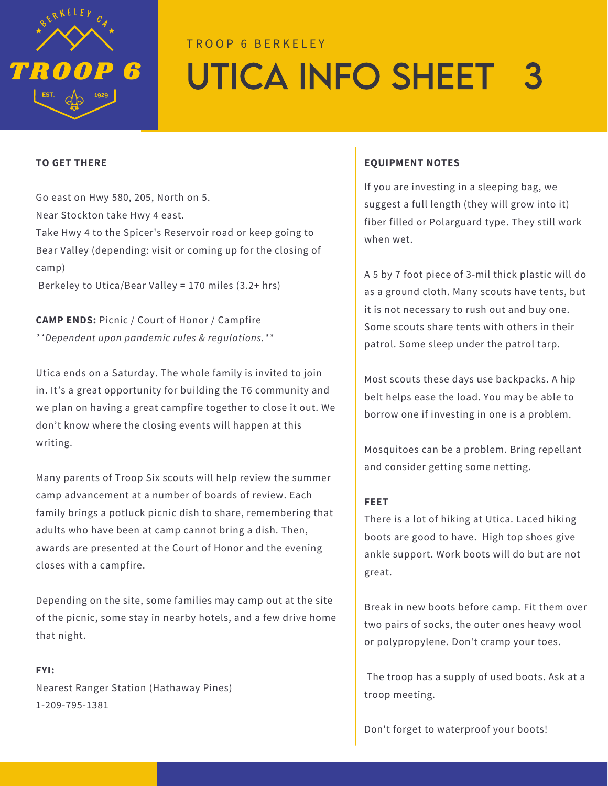

# TROOP 6 BERKELEY UTiCA INFO SHEET 3

### **TO GET THERE**

Go east on Hwy 580, 205, North on 5. Near Stockton take Hwy 4 east. Take Hwy 4 to the Spicer's Reservoir road or keep going to Bear Valley (depending: visit or coming up for the closing of camp)

Berkeley to Utica/Bear Valley = 170 miles (3.2+ hrs)

**CAMP ENDS:** Picnic / Court of Honor / Campfire *\*\*Dependent upon pandemic rules & regulations.\*\**

Utica ends on a Saturday. The whole family is invited to join in. It's a great opportunity for building the T6 community and we plan on having a great campfire together to close it out. We don't know where the closing events will happen at this writing.

Many parents of Troop Six scouts will help review the summer camp advancement at a number of boards of review. Each family brings a potluck picnic dish to share, remembering that adults who have been at camp cannot bring a dish. Then, awards are presented at the Court of Honor and the evening closes with a campfire.

Depending on the site, some families may camp out at the site of the picnic, some stay in nearby hotels, and a few drive home that night.

Nearest Ranger Station (Hathaway Pines) 1-209-795-1381

**FYI:**

### **EQUIPMENT NOTES**

If you are investing in a sleeping bag, we suggest a full length (they will grow into it) fiber filled or Polarguard type. They still work when wet.

A 5 by 7 foot piece of 3-mil thick plastic will do as a ground cloth. Many scouts have tents, but it is not necessary to rush out and buy one. Some scouts share tents with others in their patrol. Some sleep under the patrol tarp.

Most scouts these days use backpacks. A hip belt helps ease the load. You may be able to borrow one if investing in one is a problem.

Mosquitoes can be a problem. Bring repellant and consider getting some netting.

### **FEET**

There is a lot of hiking at Utica. Laced hiking boots are good to have. High top shoes give ankle support. Work boots will do but are not great.

Break in new boots before camp. Fit them over two pairs of socks, the outer ones heavy wool or polypropylene. Don't cramp your toes.

The troop has a supply of used boots. Ask at a troop meeting.

Don't forget to waterproof your boots!